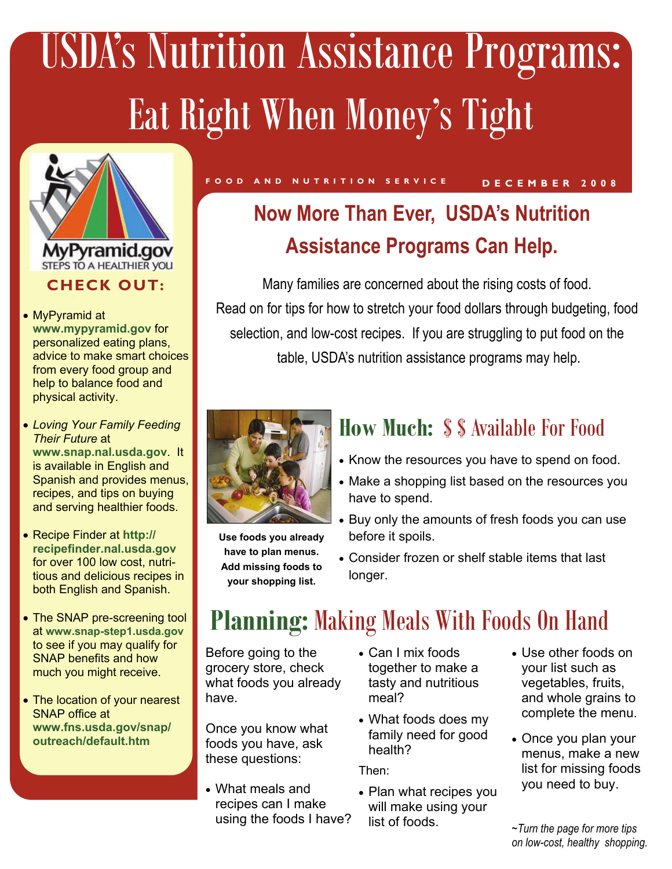# USDA's Nutrition Assistance Programs: Eat Right When Money's Tight



- MyPyramid at **www.mypyramid.gov** for personalized eating plans, advice to make smart choices from every food group and help to balance food and physical activity.
- *Loving Your Family Feeding Their Future* at **www.snap.nal.usda.gov**. It is available in English and Spanish and provides menus, recipes, and tips on buying and serving healthier foods.
- Recipe Finder at **http:// recipefinder.nal.usda.gov** for over 100 low cost, nutritious and delicious recipes in both English and Spanish.
- The SNAP pre-screening tool at **www.snap-step1.usda.gov** to see if you may qualify for SNAP benefits and how much you might receive.
- The location of your nearest SNAP office at **www.fns.usda.gov/snap/ outreach/default.htm**

## **Now More Than Ever, USDA's Nutrition Assistance Programs Can Help.**

**DECEMBER 2008 FOOD AND NUTRITION SERVICE** 

Many families are concerned about the rising costs of food. Read on for tips for how to stretch your food dollars through budgeting, food selection, and low-cost recipes. If you are struggling to put food on the table, USDA's nutrition assistance programs may help.



**Use foods you already have to plan menus. Add missing foods to your shopping list.** 

### **How Much:** \$ \$ Available For Food

- Know the resources you have to spend on food.
- Make a shopping list based on the resources you have to spend.
- Buy only the amounts of fresh foods you can use before it spoils.
- Consider frozen or shelf stable items that last longer.

## **Planning:** Making Meals With Foods On Hand

Before going to the grocery store, check what foods you already have.

Once you know what foods you have, ask these questions:

- What meals and recipes can I make using the foods I have?
- Can I mix foods together to make a tasty and nutritious meal?
- What foods does my family need for good health?

Then:

- Plan what recipes you will make using your list of foods.
- Use other foods on your list such as vegetables, fruits, and whole grains to complete the menu.
- Once you plan your menus, make a new list for missing foods you need to buy.

*~Turn the page for more tips on low-cost, healthy shopping.*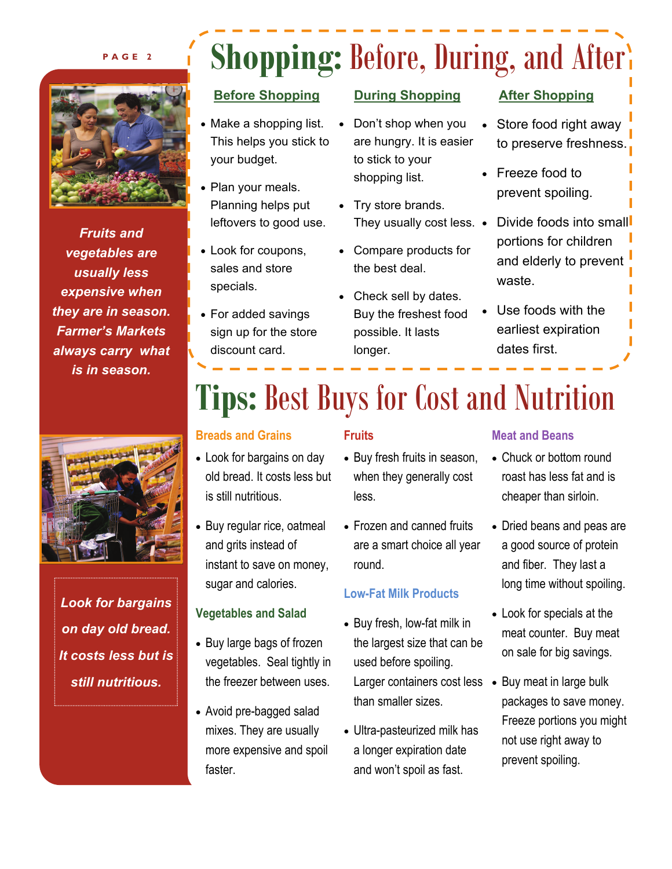#### **PAGE 2**



*Fruits and vegetables are usually less expensive when they are in season. Farmer's Markets always carry what is in season.* 



*Look for bargains on day old bread. It costs less but is still nutritious.* 

## **Shopping: Before, During, and After's**

#### **Before Shopping**

- Make a shopping list. This helps you stick to your budget.
- Plan your meals. Planning helps put leftovers to good use.
- Look for coupons, sales and store specials.
- For added savings sign up for the store discount card.

#### **During Shopping**

- Don't shop when you are hungry. It is easier to stick to your shopping list.
- Try store brands. They usually cost less. •
- Compare products for the best deal.
- Check sell by dates. Buy the freshest food possible. It lasts longer.

#### **After Shopping**

- Store food right away to preserve freshness.
- Freeze food to prevent spoiling.
- Divide foods into small portions for children and elderly to prevent waste.
- Use foods with the earliest expiration dates first.

## **Tips:** Best Buys for Cost and Nutrition

#### **Breads and Grains**

#### **Fruits**

- Look for bargains on day old bread. It costs less but is still nutritious.
- Buy regular rice, oatmeal and grits instead of instant to save on money, sugar and calories.

#### **Vegetables and Salad**

- Buy large bags of frozen vegetables. Seal tightly in the freezer between uses.
- Avoid pre-bagged salad mixes. They are usually more expensive and spoil faster.
- Buy fresh fruits in season, when they generally cost less.
- Frozen and canned fruits are a smart choice all year round.

#### **Low-Fat Milk Products**

- Buy fresh, low-fat milk in the largest size that can be used before spoiling. Larger containers cost less . Buy meat in large bulk than smaller sizes.
- Ultra-pasteurized milk has a longer expiration date and won't spoil as fast.

#### **Meat and Beans**

- Chuck or bottom round roast has less fat and is cheaper than sirloin.
- Dried beans and peas are a good source of protein and fiber. They last a long time without spoiling.
- Look for specials at the meat counter. Buy meat on sale for big savings.
- packages to save money. Freeze portions you might not use right away to prevent spoiling.